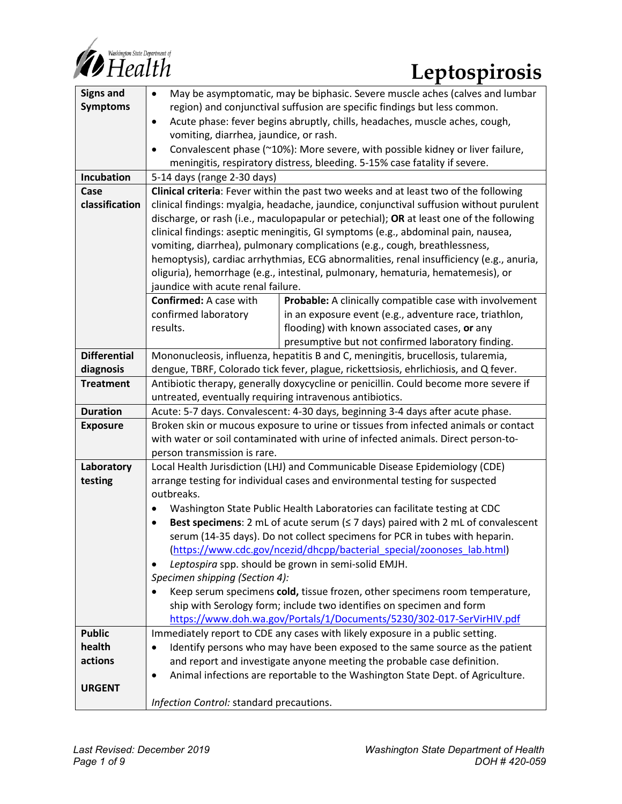

| <b>Signs and</b>    | May be asymptomatic, may be biphasic. Severe muscle aches (calves and lumbar<br>$\bullet$   |                                                         |
|---------------------|---------------------------------------------------------------------------------------------|---------------------------------------------------------|
| <b>Symptoms</b>     | region) and conjunctival suffusion are specific findings but less common.                   |                                                         |
|                     |                                                                                             |                                                         |
|                     | Acute phase: fever begins abruptly, chills, headaches, muscle aches, cough,<br>$\bullet$    |                                                         |
|                     | vomiting, diarrhea, jaundice, or rash.                                                      |                                                         |
|                     | Convalescent phase (~10%): More severe, with possible kidney or liver failure,<br>$\bullet$ |                                                         |
|                     | meningitis, respiratory distress, bleeding. 5-15% case fatality if severe.                  |                                                         |
| Incubation          | 5-14 days (range 2-30 days)                                                                 |                                                         |
| Case                | Clinical criteria: Fever within the past two weeks and at least two of the following        |                                                         |
| classification      | clinical findings: myalgia, headache, jaundice, conjunctival suffusion without purulent     |                                                         |
|                     | discharge, or rash (i.e., maculopapular or petechial); OR at least one of the following     |                                                         |
|                     | clinical findings: aseptic meningitis, GI symptoms (e.g., abdominal pain, nausea,           |                                                         |
|                     | vomiting, diarrhea), pulmonary complications (e.g., cough, breathlessness,                  |                                                         |
|                     | hemoptysis), cardiac arrhythmias, ECG abnormalities, renal insufficiency (e.g., anuria,     |                                                         |
|                     | oliguria), hemorrhage (e.g., intestinal, pulmonary, hematuria, hematemesis), or             |                                                         |
|                     | jaundice with acute renal failure.                                                          |                                                         |
|                     | <b>Confirmed:</b> A case with                                                               | Probable: A clinically compatible case with involvement |
|                     | confirmed laboratory                                                                        | in an exposure event (e.g., adventure race, triathlon,  |
|                     | results.                                                                                    | flooding) with known associated cases, or any           |
|                     |                                                                                             | presumptive but not confirmed laboratory finding.       |
| <b>Differential</b> | Mononucleosis, influenza, hepatitis B and C, meningitis, brucellosis, tularemia,            |                                                         |
| diagnosis           | dengue, TBRF, Colorado tick fever, plague, rickettsiosis, ehrlichiosis, and Q fever.        |                                                         |
| <b>Treatment</b>    | Antibiotic therapy, generally doxycycline or penicillin. Could become more severe if        |                                                         |
|                     | untreated, eventually requiring intravenous antibiotics.                                    |                                                         |
| <b>Duration</b>     | Acute: 5-7 days. Convalescent: 4-30 days, beginning 3-4 days after acute phase.             |                                                         |
| <b>Exposure</b>     | Broken skin or mucous exposure to urine or tissues from infected animals or contact         |                                                         |
|                     | with water or soil contaminated with urine of infected animals. Direct person-to-           |                                                         |
|                     | person transmission is rare.                                                                |                                                         |
| Laboratory          | Local Health Jurisdiction (LHJ) and Communicable Disease Epidemiology (CDE)                 |                                                         |
| testing             | arrange testing for individual cases and environmental testing for suspected                |                                                         |
|                     | outbreaks.                                                                                  |                                                         |
|                     | Washington State Public Health Laboratories can facilitate testing at CDC<br>$\bullet$      |                                                         |
|                     | Best specimens: 2 mL of acute serum $(≤ 7$ days) paired with 2 mL of convalescent           |                                                         |
|                     | serum (14-35 days). Do not collect specimens for PCR in tubes with heparin.                 |                                                         |
|                     | (https://www.cdc.gov/ncezid/dhcpp/bacterial special/zoonoses lab.html)                      |                                                         |
|                     | Leptospira spp. should be grown in semi-solid EMJH.<br>٠                                    |                                                         |
|                     | Specimen shipping (Section 4):                                                              |                                                         |
|                     | Keep serum specimens cold, tissue frozen, other specimens room temperature,<br>$\bullet$    |                                                         |
|                     | ship with Serology form; include two identifies on specimen and form                        |                                                         |
|                     | https://www.doh.wa.gov/Portals/1/Documents/5230/302-017-SerVirHIV.pdf                       |                                                         |
| <b>Public</b>       | Immediately report to CDE any cases with likely exposure in a public setting.               |                                                         |
| health              | Identify persons who may have been exposed to the same source as the patient<br>$\bullet$   |                                                         |
| actions             | and report and investigate anyone meeting the probable case definition.                     |                                                         |
|                     | Animal infections are reportable to the Washington State Dept. of Agriculture.<br>$\bullet$ |                                                         |
| <b>URGENT</b>       |                                                                                             |                                                         |
|                     | Infection Control: standard precautions.                                                    |                                                         |
|                     |                                                                                             |                                                         |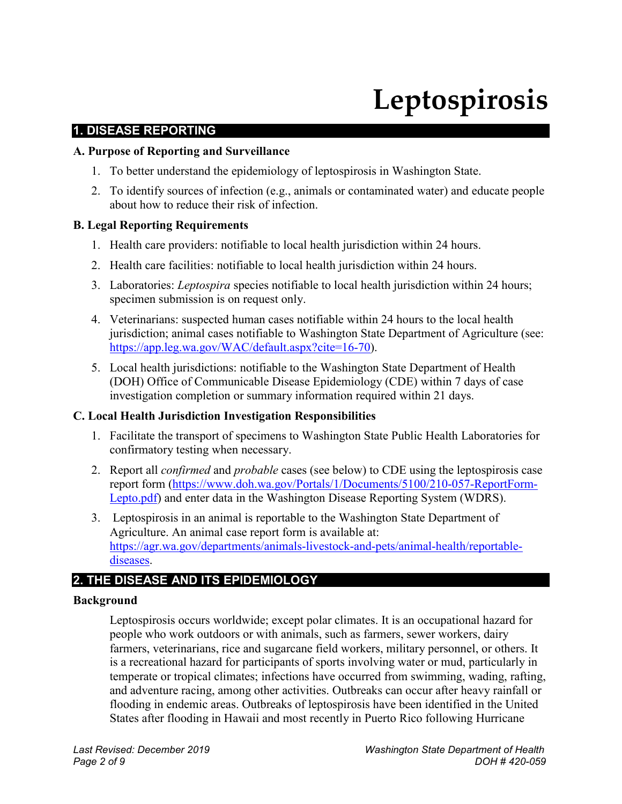# **Leptospirosis**

# **1. DISEASE REPORTING**

## **A. Purpose of Reporting and Surveillance**

- 1. To better understand the epidemiology of leptospirosis in Washington State.
- 2. To identify sources of infection (e.g., animals or contaminated water) and educate people about how to reduce their risk of infection.

## **B. Legal Reporting Requirements**

- 1. Health care providers: notifiable to local health jurisdiction within 24 hours.
- 2. Health care facilities: notifiable to local health jurisdiction within 24 hours.
- 3. Laboratories: *Leptospira* species notifiable to local health jurisdiction within 24 hours; specimen submission is on request only.
- 4. Veterinarians: suspected human cases notifiable within 24 hours to the local health jurisdiction; animal cases notifiable to Washington State Department of Agriculture (see: [https://app.leg.wa.gov/WAC/default.aspx?cite=16-70\)](https://app.leg.wa.gov/WAC/default.aspx?cite=16-70).
- 5. Local health jurisdictions: notifiable to the Washington State Department of Health (DOH) Office of Communicable Disease Epidemiology (CDE) within 7 days of case investigation completion or summary information required within 21 days.

## **C. Local Health Jurisdiction Investigation Responsibilities**

- 1. Facilitate the transport of specimens to Washington State Public Health Laboratories for confirmatory testing when necessary.
- 2. Report all *confirmed* and *probable* cases (see below) to CDE using the leptospirosis case report form [\(https://www.doh.wa.gov/Portals/1/Documents/5100/210-057-ReportForm-](https://www.doh.wa.gov/Portals/1/Documents/5100/210-057-ReportForm-Lepto.pdf)[Lepto.pdf\)](https://www.doh.wa.gov/Portals/1/Documents/5100/210-057-ReportForm-Lepto.pdf) and enter data in the Washington Disease Reporting System (WDRS).
- 3. Leptospirosis in an animal is reportable to the Washington State Department of Agriculture. An animal case report form is available at: [https://agr.wa.gov/departments/animals-livestock-and-pets/animal-health/reportable](https://agr.wa.gov/departments/animals-livestock-and-pets/animal-health/reportable-diseases)[diseases.](https://agr.wa.gov/departments/animals-livestock-and-pets/animal-health/reportable-diseases)

# **2. THE DISEASE AND ITS EPIDEMIOLOGY**

## **Background**

Leptospirosis occurs worldwide; except polar climates. It is an occupational hazard for people who work outdoors or with animals, such as farmers, sewer workers, dairy farmers, veterinarians, rice and sugarcane field workers, military personnel, or others. It is a recreational hazard for participants of sports involving water or mud, particularly in temperate or tropical climates; infections have occurred from swimming, wading, rafting, and adventure racing, among other activities. Outbreaks can occur after heavy rainfall or flooding in endemic areas. Outbreaks of leptospirosis have been identified in the United States after flooding in Hawaii and most recently in Puerto Rico following Hurricane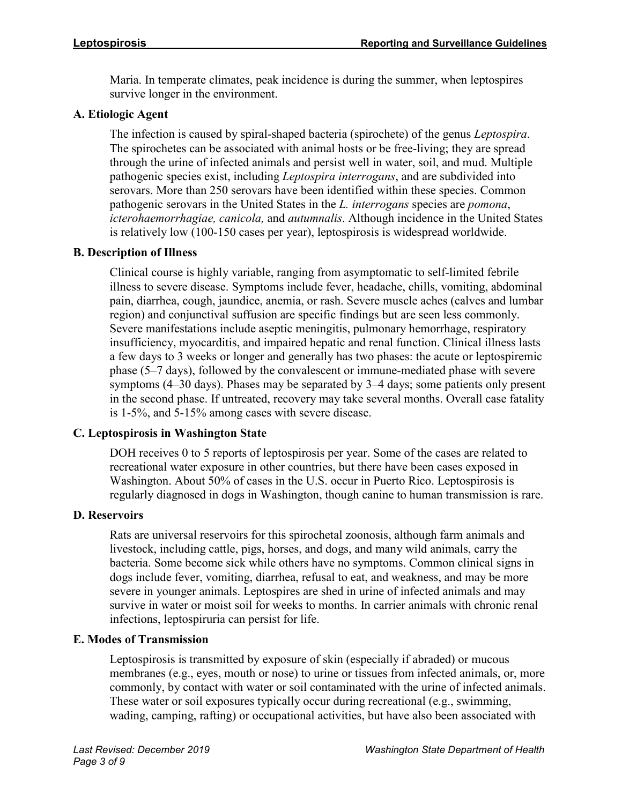Maria. In temperate climates, peak incidence is during the summer, when leptospires survive longer in the environment.

# **A. Etiologic Agent**

The infection is caused by spiral-shaped bacteria (spirochete) of the genus *Leptospira*. The spirochetes can be associated with animal hosts or be free-living; they are spread through the urine of infected animals and persist well in water, soil, and mud. Multiple pathogenic species exist, including *Leptospira interrogans*, and are subdivided into serovars. More than 250 serovars have been identified within these species. Common pathogenic serovars in the United States in the *L. interrogans* species are *pomona*, *icterohaemorrhagiae, canicola,* and *autumnalis*. Although incidence in the United States is relatively low (100-150 cases per year), leptospirosis is widespread worldwide.

# **B. Description of Illness**

Clinical course is highly variable, ranging from asymptomatic to self-limited febrile illness to severe disease. Symptoms include fever, headache, chills, vomiting, abdominal pain, diarrhea, cough, jaundice, anemia, or rash. Severe muscle aches (calves and lumbar region) and conjunctival suffusion are specific findings but are seen less commonly. Severe manifestations include aseptic meningitis, pulmonary hemorrhage, respiratory insufficiency, myocarditis, and impaired hepatic and renal function. Clinical illness lasts a few days to 3 weeks or longer and generally has two phases: the acute or leptospiremic phase (5–7 days), followed by the convalescent or immune-mediated phase with severe symptoms (4–30 days). Phases may be separated by 3–4 days; some patients only present in the second phase. If untreated, recovery may take several months. Overall case fatality is 1-5%, and 5-15% among cases with severe disease.

# **C. Leptospirosis in Washington State**

DOH receives 0 to 5 reports of leptospirosis per year. Some of the cases are related to recreational water exposure in other countries, but there have been cases exposed in Washington. About 50% of cases in the U.S. occur in Puerto Rico. Leptospirosis is regularly diagnosed in dogs in Washington, though canine to human transmission is rare.

# **D. Reservoirs**

Rats are universal reservoirs for this spirochetal zoonosis, although farm animals and livestock, including cattle, pigs, horses, and dogs, and many wild animals, carry the bacteria. Some become sick while others have no symptoms. Common clinical signs in dogs include fever, vomiting, diarrhea, refusal to eat, and weakness, and may be more severe in younger animals. Leptospires are shed in urine of infected animals and may survive in water or moist soil for weeks to months. In carrier animals with chronic renal infections, leptospiruria can persist for life.

# **E. Modes of Transmission**

Leptospirosis is transmitted by exposure of skin (especially if abraded) or mucous membranes (e.g., eyes, mouth or nose) to urine or tissues from infected animals, or, more commonly, by contact with water or soil contaminated with the urine of infected animals. These water or soil exposures typically occur during recreational (e.g., swimming, wading, camping, rafting) or occupational activities, but have also been associated with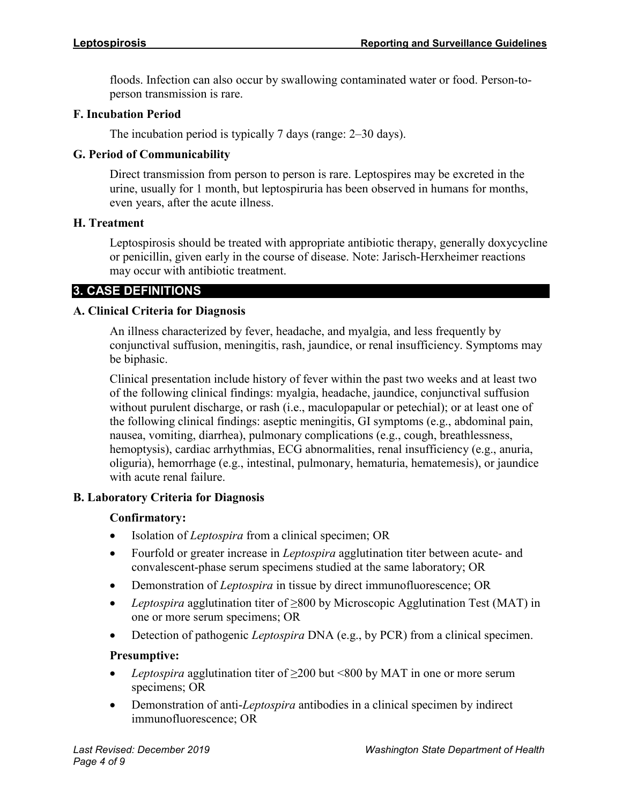floods. Infection can also occur by swallowing contaminated water or food. Person-toperson transmission is rare.

# **F. Incubation Period**

The incubation period is typically 7 days (range: 2–30 days).

# **G. Period of Communicability**

Direct transmission from person to person is rare. Leptospires may be excreted in the urine, usually for 1 month, but leptospiruria has been observed in humans for months, even years, after the acute illness.

# **H. Treatment**

Leptospirosis should be treated with appropriate antibiotic therapy, generally doxycycline or penicillin, given early in the course of disease. Note: Jarisch-Herxheimer reactions may occur with antibiotic treatment.

# **3. CASE DEFINITIONS**

# **A. Clinical Criteria for Diagnosis**

An illness characterized by fever, headache, and myalgia, and less frequently by conjunctival suffusion, meningitis, rash, jaundice, or renal insufficiency. Symptoms may be biphasic.

Clinical presentation include history of fever within the past two weeks and at least two of the following clinical findings: myalgia, headache, jaundice, conjunctival suffusion without purulent discharge, or rash (i.e., maculopapular or petechial); or at least one of the following clinical findings: aseptic meningitis, GI symptoms (e.g., abdominal pain, nausea, vomiting, diarrhea), pulmonary complications (e.g., cough, breathlessness, hemoptysis), cardiac arrhythmias, ECG abnormalities, renal insufficiency (e.g., anuria, oliguria), hemorrhage (e.g., intestinal, pulmonary, hematuria, hematemesis), or jaundice with acute renal failure.

# **B. Laboratory Criteria for Diagnosis**

# **Confirmatory:**

- Isolation of *Leptospira* from a clinical specimen; OR
- Fourfold or greater increase in *Leptospira* agglutination titer between acute- and convalescent-phase serum specimens studied at the same laboratory; OR
- Demonstration of *Leptospira* in tissue by direct immunofluorescence; OR
- *Leptospira* agglutination titer of ≥800 by Microscopic Agglutination Test (MAT) in one or more serum specimens; OR
- Detection of pathogenic *Leptospira* DNA (e.g., by PCR) from a clinical specimen.

# **Presumptive:**

- *Leptospira* agglutination titer of ≥200 but <800 by MAT in one or more serum specimens; OR
- Demonstration of anti-*Leptospira* antibodies in a clinical specimen by indirect immunofluorescence; OR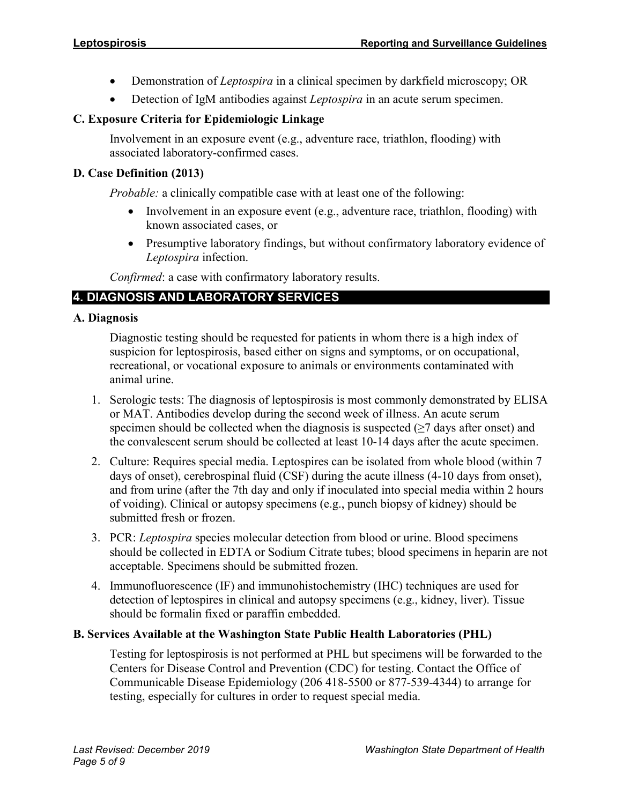- Demonstration of *Leptospira* in a clinical specimen by darkfield microscopy; OR
- Detection of IgM antibodies against *Leptospira* in an acute serum specimen.

# **C. Exposure Criteria for Epidemiologic Linkage**

Involvement in an exposure event (e.g., adventure race, triathlon, flooding) with associated laboratory-confirmed cases.

# **D. Case Definition (2013)**

*Probable:* a clinically compatible case with at least one of the following:

- Involvement in an exposure event (e.g., adventure race, triathlon, flooding) with known associated cases, or
- Presumptive laboratory findings, but without confirmatory laboratory evidence of *Leptospira* infection.

*Confirmed*: a case with confirmatory laboratory results.

# **4. DIAGNOSIS AND LABORATORY SERVICES**

# **A. Diagnosis**

Diagnostic testing should be requested for patients in whom there is a high index of suspicion for leptospirosis, based either on signs and symptoms, or on occupational, recreational, or vocational exposure to animals or environments contaminated with animal urine.

- 1. Serologic tests: The diagnosis of leptospirosis is most commonly demonstrated by ELISA or MAT. Antibodies develop during the second week of illness. An acute serum specimen should be collected when the diagnosis is suspected  $(\geq 7)$  days after onset) and the convalescent serum should be collected at least 10-14 days after the acute specimen.
- 2. Culture: Requires special media. Leptospires can be isolated from whole blood (within 7 days of onset), cerebrospinal fluid (CSF) during the acute illness (4-10 days from onset), and from urine (after the 7th day and only if inoculated into special media within 2 hours of voiding). Clinical or autopsy specimens (e.g., punch biopsy of kidney) should be submitted fresh or frozen.
- 3. PCR: *Leptospira* species molecular detection from blood or urine. Blood specimens should be collected in EDTA or Sodium Citrate tubes; blood specimens in heparin are not acceptable. Specimens should be submitted frozen.
- 4. Immunofluorescence (IF) and immunohistochemistry (IHC) techniques are used for detection of leptospires in clinical and autopsy specimens (e.g., kidney, liver). Tissue should be formalin fixed or paraffin embedded.

# **B. Services Available at the Washington State Public Health Laboratories (PHL)**

Testing for leptospirosis is not performed at PHL but specimens will be forwarded to the Centers for Disease Control and Prevention (CDC) for testing. Contact the Office of Communicable Disease Epidemiology (206 418-5500 or 877-539-4344) to arrange for testing, especially for cultures in order to request special media.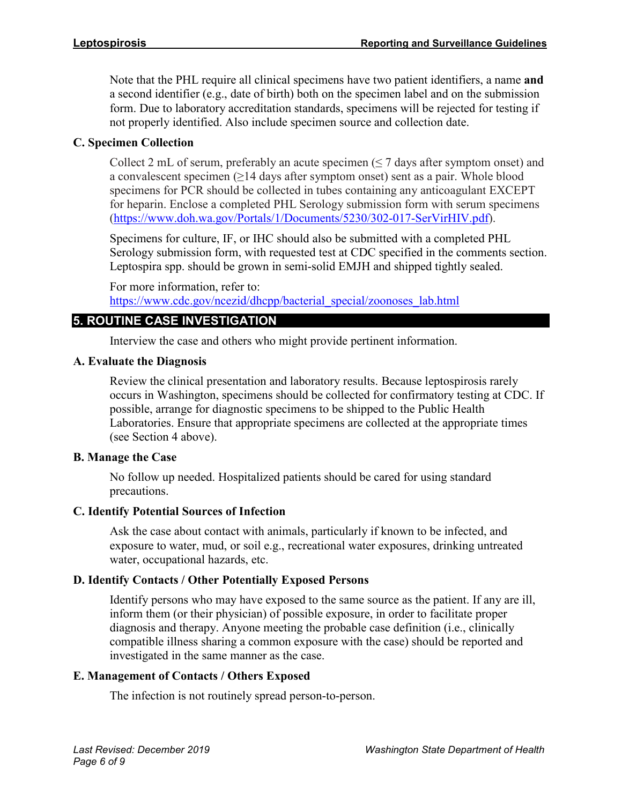Note that the PHL require all clinical specimens have two patient identifiers, a name **and**  a second identifier (e.g., date of birth) both on the specimen label and on the submission form. Due to laboratory accreditation standards, specimens will be rejected for testing if not properly identified. Also include specimen source and collection date.

# **C. Specimen Collection**

Collect 2 mL of serum, preferably an acute specimen  $( \leq 7$  days after symptom onset) and a convalescent specimen  $(≥14$  days after symptom onset) sent as a pair. Whole blood specimens for PCR should be collected in tubes containing any anticoagulant EXCEPT for heparin. Enclose a completed PHL Serology submission form with serum specimens [\(https://www.doh.wa.gov/Portals/1/Documents/5230/302-017-SerVirHIV.pdf\)](https://www.doh.wa.gov/Portals/1/Documents/5230/302-017-SerVirHIV.pdf).

Specimens for culture, IF, or IHC should also be submitted with a completed PHL Serology submission form, with requested test at CDC specified in the comments section. Leptospira spp. should be grown in semi-solid EMJH and shipped tightly sealed.

For more information, refer to: [https://www.cdc.gov/ncezid/dhcpp/bacterial\\_special/zoonoses\\_lab.html](https://www.cdc.gov/ncezid/dhcpp/bacterial_special/zoonoses_lab.html)

# **5. ROUTINE CASE INVESTIGATION**

Interview the case and others who might provide pertinent information.

# **A. Evaluate the Diagnosis**

Review the clinical presentation and laboratory results. Because leptospirosis rarely occurs in Washington, specimens should be collected for confirmatory testing at CDC. If possible, arrange for diagnostic specimens to be shipped to the Public Health Laboratories. Ensure that appropriate specimens are collected at the appropriate times (see Section 4 above).

# **B. Manage the Case**

No follow up needed. Hospitalized patients should be cared for using standard precautions.

# **C. Identify Potential Sources of Infection**

Ask the case about contact with animals, particularly if known to be infected, and exposure to water, mud, or soil e.g., recreational water exposures, drinking untreated water, occupational hazards, etc.

# **D. Identify Contacts / Other Potentially Exposed Persons**

Identify persons who may have exposed to the same source as the patient. If any are ill, inform them (or their physician) of possible exposure, in order to facilitate proper diagnosis and therapy. Anyone meeting the probable case definition (i.e., clinically compatible illness sharing a common exposure with the case) should be reported and investigated in the same manner as the case.

# **E. Management of Contacts / Others Exposed**

The infection is not routinely spread person-to-person.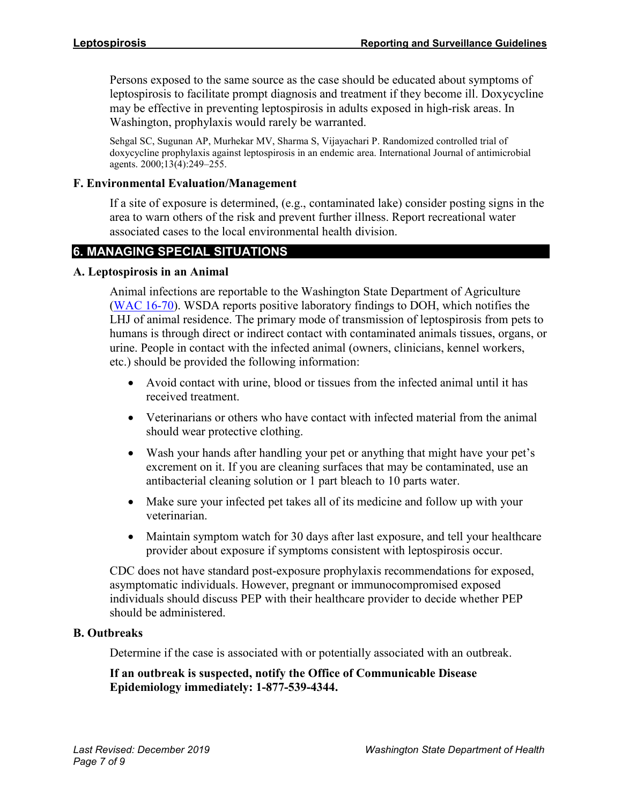Persons exposed to the same source as the case should be educated about symptoms of leptospirosis to facilitate prompt diagnosis and treatment if they become ill. Doxycycline may be effective in preventing leptospirosis in adults exposed in high-risk areas. In Washington, prophylaxis would rarely be warranted.

Sehgal SC, Sugunan AP, Murhekar MV, Sharma S, Vijayachari P. Randomized controlled trial of doxycycline prophylaxis against leptospirosis in an endemic area. International Journal of antimicrobial agents. 2000;13(4):249–255.

## **F. Environmental Evaluation/Management**

If a site of exposure is determined, (e.g., contaminated lake) consider posting signs in the area to warn others of the risk and prevent further illness. Report recreational water associated cases to the local environmental health division.

# **6. MANAGING SPECIAL SITUATIONS**

## **A. Leptospirosis in an Animal**

Animal infections are reportable to the Washington State Department of Agriculture [\(WAC 16-70\)](https://app.leg.wa.gov/WAC/default.aspx?cite=16-70). WSDA reports positive laboratory findings to DOH, which notifies the LHJ of animal residence. The primary mode of transmission of leptospirosis from pets to humans is through direct or indirect contact with contaminated animals tissues, organs, or urine. People in contact with the infected animal (owners, clinicians, kennel workers, etc.) should be provided the following information:

- Avoid contact with urine, blood or tissues from the infected animal until it has received treatment.
- Veterinarians or others who have contact with infected material from the animal should wear protective clothing.
- Wash your hands after handling your pet or anything that might have your pet's excrement on it. If you are cleaning surfaces that may be contaminated, use an antibacterial cleaning solution or 1 part bleach to 10 parts water.
- Make sure your infected pet takes all of its medicine and follow up with your veterinarian.
- Maintain symptom watch for 30 days after last exposure, and tell your healthcare provider about exposure if symptoms consistent with leptospirosis occur.

CDC does not have standard post-exposure prophylaxis recommendations for exposed, asymptomatic individuals. However, pregnant or immunocompromised exposed individuals should discuss PEP with their healthcare provider to decide whether PEP should be administered.

#### **B. Outbreaks**

Determine if the case is associated with or potentially associated with an outbreak.

# **If an outbreak is suspected, notify the Office of Communicable Disease Epidemiology immediately: 1-877-539-4344.**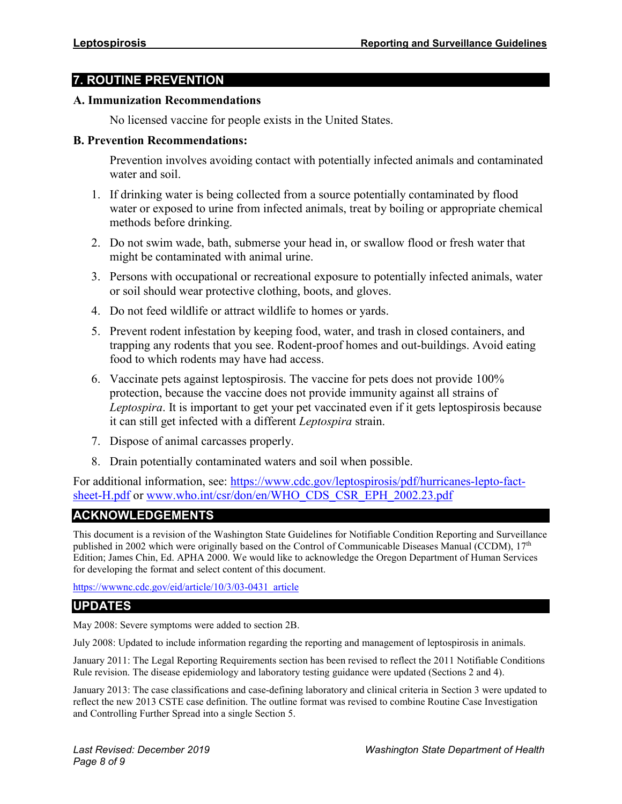# **7. ROUTINE PREVENTION**

#### **A. Immunization Recommendations**

No licensed vaccine for people exists in the United States.

#### **B. Prevention Recommendations:**

Prevention involves avoiding contact with potentially infected animals and contaminated water and soil.

- 1. If drinking water is being collected from a source potentially contaminated by flood water or exposed to urine from infected animals, treat by boiling or appropriate chemical methods before drinking.
- 2. Do not swim wade, bath, submerse your head in, or swallow flood or fresh water that might be contaminated with animal urine.
- 3. Persons with occupational or recreational exposure to potentially infected animals, water or soil should wear protective clothing, boots, and gloves.
- 4. Do not feed wildlife or attract wildlife to homes or yards.
- 5. Prevent rodent infestation by keeping food, water, and trash in closed containers, and trapping any rodents that you see. Rodent-proof homes and out-buildings. Avoid eating food to which rodents may have had access.
- 6. Vaccinate pets against leptospirosis. The vaccine for pets does not provide 100% protection, because the vaccine does not provide immunity against all strains of *Leptospira*. It is important to get your pet vaccinated even if it gets leptospirosis because it can still get infected with a different *Leptospira* strain.
- 7. Dispose of animal carcasses properly.
- 8. Drain potentially contaminated waters and soil when possible.

For additional information, see: [https://www.cdc.gov/leptospirosis/pdf/hurricanes-lepto-fact](https://www.cdc.gov/leptospirosis/pdf/hurricanes-lepto-fact-sheet-H.pdf)[sheet-H.pdf](https://www.cdc.gov/leptospirosis/pdf/hurricanes-lepto-fact-sheet-H.pdf) or [www.who.int/csr/don/en/WHO\\_CDS\\_CSR\\_EPH\\_2002.23.pdf](http://www.who.int/csr/don/en/WHO_CDS_CSR_EPH_2002.23.pdf)

# **ACKNOWLEDGEMENTS**

This document is a revision of the Washington State Guidelines for Notifiable Condition Reporting and Surveillance published in 2002 which were originally based on the Control of Communicable Diseases Manual (CCDM),  $17<sup>th</sup>$ Edition; James Chin, Ed. APHA 2000. We would like to acknowledge the Oregon Department of Human Services for developing the format and select content of this document.

[https://wwwnc.cdc.gov/eid/article/10/3/03-0431\\_article](https://wwwnc.cdc.gov/eid/article/10/3/03-0431_article)

# **UPDATES**

May 2008: Severe symptoms were added to section 2B.

July 2008: Updated to include information regarding the reporting and management of leptospirosis in animals.

January 2011: The Legal Reporting Requirements section has been revised to reflect the 2011 Notifiable Conditions Rule revision. The disease epidemiology and laboratory testing guidance were updated (Sections 2 and 4).

January 2013: The case classifications and case-defining laboratory and clinical criteria in Section 3 were updated to reflect the new 2013 CSTE case definition. The outline format was revised to combine Routine Case Investigation and Controlling Further Spread into a single Section 5.